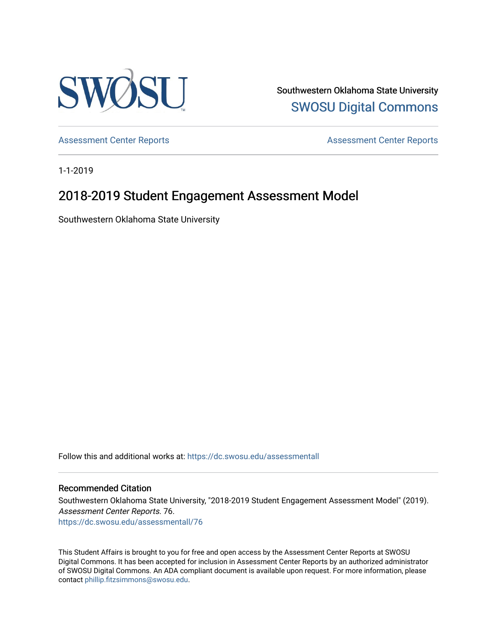

Southwestern Oklahoma State University [SWOSU Digital Commons](https://dc.swosu.edu/) 

[Assessment Center Reports](https://dc.swosu.edu/assessmenthm) **Assessment Center Reports** 

1-1-2019

# 2018-2019 Student Engagement Assessment Model

Southwestern Oklahoma State University

Follow this and additional works at: [https://dc.swosu.edu/assessmentall](https://dc.swosu.edu/assessmentall?utm_source=dc.swosu.edu%2Fassessmentall%2F76&utm_medium=PDF&utm_campaign=PDFCoverPages) 

#### Recommended Citation

Southwestern Oklahoma State University, "2018-2019 Student Engagement Assessment Model" (2019). Assessment Center Reports. 76. [https://dc.swosu.edu/assessmentall/76](https://dc.swosu.edu/assessmentall/76?utm_source=dc.swosu.edu%2Fassessmentall%2F76&utm_medium=PDF&utm_campaign=PDFCoverPages) 

This Student Affairs is brought to you for free and open access by the Assessment Center Reports at SWOSU Digital Commons. It has been accepted for inclusion in Assessment Center Reports by an authorized administrator of SWOSU Digital Commons. An ADA compliant document is available upon request. For more information, please contact [phillip.fitzsimmons@swosu.edu.](mailto:phillip.fitzsimmons@swosu.edu)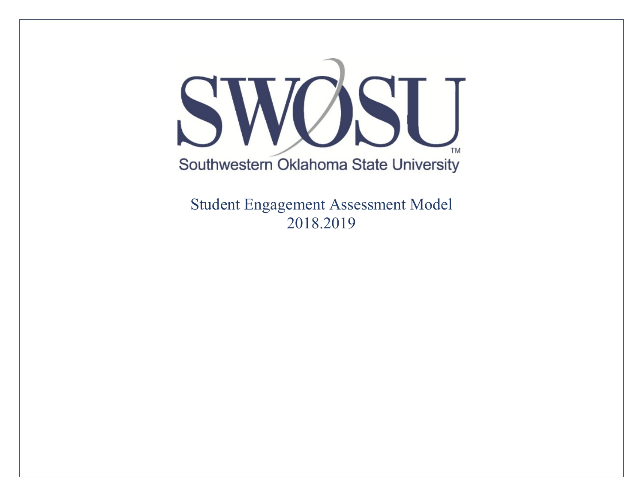

Student Engagement Assessment Model 2018.2019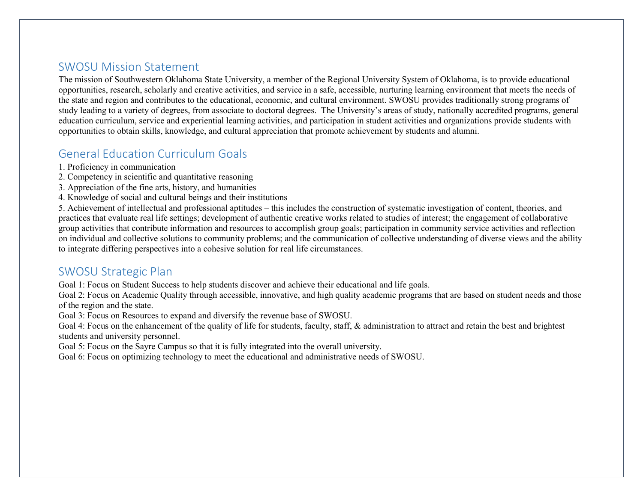#### SWOSU Mission Statement

The mission of Southwestern Oklahoma State University, a member of the Regional University System of Oklahoma, is to provide educational opportunities, research, scholarly and creative activities, and service in a safe, accessible, nurturing learning environment that meets the needs of the state and region and contributes to the educational, economic, and cultural environment. SWOSU provides traditionally strong programs of study leading to a variety of degrees, from associate to doctoral degrees. The University's areas of study, nationally accredited programs, general education curriculum, service and experiential learning activities, and participation in student activities and organizations provide students with opportunities to obtain skills, knowledge, and cultural appreciation that promote achievement by students and alumni.

## General Education Curriculum Goals

- 1. Proficiency in communication
- 2. Competency in scientific and quantitative reasoning
- 3. Appreciation of the fine arts, history, and humanities
- 4. Knowledge of social and cultural beings and their institutions

5. Achievement of intellectual and professional aptitudes – this includes the construction of systematic investigation of content, theories, and practices that evaluate real life settings; development of authentic creative works related to studies of interest; the engagement of collaborative group activities that contribute information and resources to accomplish group goals; participation in community service activities and reflection on individual and collective solutions to community problems; and the communication of collective understanding of diverse views and the ability to integrate differing perspectives into a cohesive solution for real life circumstances.

#### SWOSU Strategic Plan

Goal 1: Focus on Student Success to help students discover and achieve their educational and life goals.

Goal 2: Focus on Academic Quality through accessible, innovative, and high quality academic programs that are based on student needs and those of the region and the state.

Goal 3: Focus on Resources to expand and diversify the revenue base of SWOSU.

Goal 4: Focus on the enhancement of the quality of life for students, faculty, staff, & administration to attract and retain the best and brightest students and university personnel.

Goal 5: Focus on the Sayre Campus so that it is fully integrated into the overall university.

Goal 6: Focus on optimizing technology to meet the educational and administrative needs of SWOSU.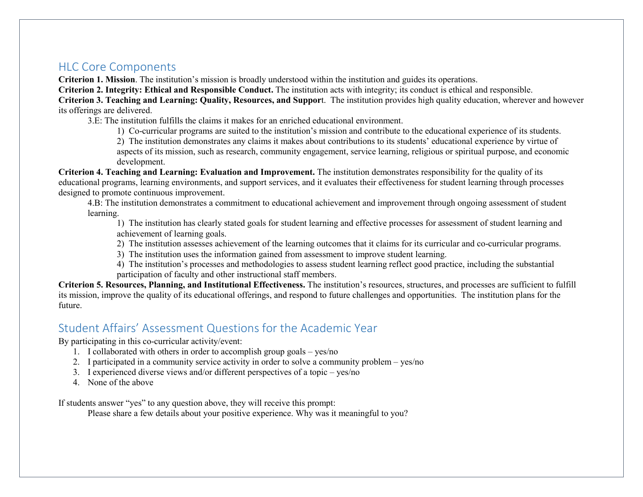#### HLC Core Components

**Criterion 1. Mission**. The institution's mission is broadly understood within the institution and guides its operations.

**Criterion 2. Integrity: Ethical and Responsible Conduct.** The institution acts with integrity; its conduct is ethical and responsible.

**Criterion 3. Teaching and Learning: Quality, Resources, and Suppor**t. The institution provides high quality education, wherever and however its offerings are delivered.

3.E: The institution fulfills the claims it makes for an enriched educational environment.

1) Co-curricular programs are suited to the institution's mission and contribute to the educational experience of its students.

2) The institution demonstrates any claims it makes about contributions to its students' educational experience by virtue of aspects of its mission, such as research, community engagement, service learning, religious or spiritual purpose, and economic development.

**Criterion 4. Teaching and Learning: Evaluation and Improvement.** The institution demonstrates responsibility for the quality of its educational programs, learning environments, and support services, and it evaluates their effectiveness for student learning through processes designed to promote continuous improvement.

4.B: The institution demonstrates a commitment to educational achievement and improvement through ongoing assessment of student learning.

1) The institution has clearly stated goals for student learning and effective processes for assessment of student learning and achievement of learning goals.

2) The institution assesses achievement of the learning outcomes that it claims for its curricular and co-curricular programs.

3) The institution uses the information gained from assessment to improve student learning.

4) The institution's processes and methodologies to assess student learning reflect good practice, including the substantial participation of faculty and other instructional staff members.

**Criterion 5. Resources, Planning, and Institutional Effectiveness.** The institution's resources, structures, and processes are sufficient to fulfill its mission, improve the quality of its educational offerings, and respond to future challenges and opportunities. The institution plans for the future.

## Student Affairs' Assessment Questions for the Academic Year

By participating in this co-curricular activity/event:

- 1. I collaborated with others in order to accomplish group goals yes/no
- 2. I participated in a community service activity in order to solve a community problem yes/no
- 3. I experienced diverse views and/or different perspectives of a topic yes/no
- 4. None of the above

If students answer "yes" to any question above, they will receive this prompt:

Please share a few details about your positive experience. Why was it meaningful to you?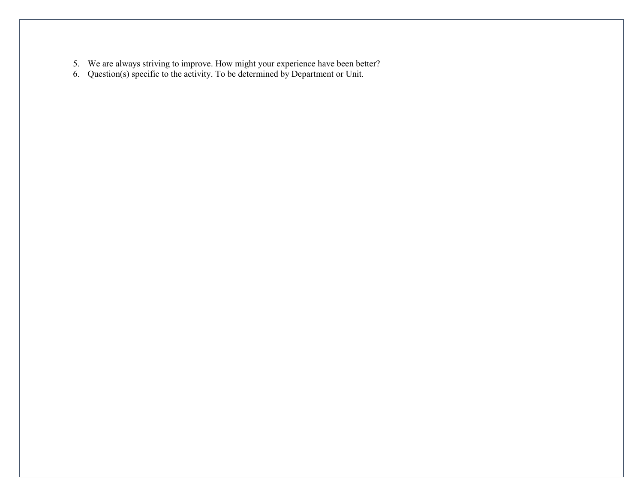- 5. We are always striving to improve. How might your experience have been better?
- 6. Question(s) specific to the activity. To be determined by Department or Unit.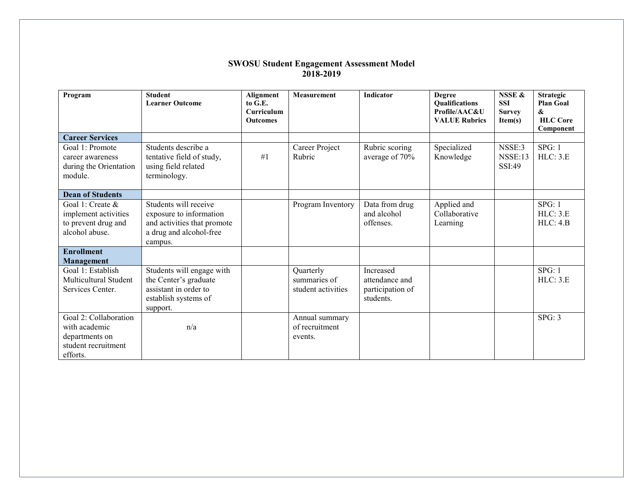#### **SWOSU Student Engagement Assessment Model 2018-2019**

| Program                                                                                     | <b>Student</b><br><b>Learner Outcome</b>                                                                              | Alignment<br>to G.E.<br>Curriculum<br><b>Outcomes</b> | Measurement                                     | <b>Indicator</b>                                             | <b>Degree</b><br><b>Qualifications</b><br>Profile/AAC&U<br><b>VALUE Rubrics</b> | NSSE &<br><b>SSI</b><br><b>Survey</b><br>Item(s) | <b>Strategic</b><br><b>Plan Goal</b><br>&<br><b>HLC</b> Core<br>Component |
|---------------------------------------------------------------------------------------------|-----------------------------------------------------------------------------------------------------------------------|-------------------------------------------------------|-------------------------------------------------|--------------------------------------------------------------|---------------------------------------------------------------------------------|--------------------------------------------------|---------------------------------------------------------------------------|
| <b>Career Services</b>                                                                      |                                                                                                                       |                                                       |                                                 |                                                              |                                                                                 |                                                  |                                                                           |
| Goal 1: Promote<br>career awareness<br>during the Orientation<br>module.                    | Students describe a<br>tentative field of study,<br>using field related<br>terminology.                               | #1                                                    | Career Project<br>Rubric                        | Rubric scoring<br>average of 70%                             | Specialized<br>Knowledge                                                        | NSSE:3<br>NSSE:13<br>SSI:49                      | SPG: 1<br>HLC: 3.E                                                        |
| <b>Dean of Students</b>                                                                     |                                                                                                                       |                                                       |                                                 |                                                              |                                                                                 |                                                  |                                                                           |
| Goal 1: Create &<br>implement activities<br>to prevent drug and<br>alcohol abuse.           | Students will receive<br>exposure to information<br>and activities that promote<br>a drug and alcohol-free<br>campus. |                                                       | Program Inventory                               | Data from drug<br>and alcohol<br>offenses.                   | Applied and<br>Collaborative<br>Learning                                        |                                                  | SPG: 1<br>HLC: 3.E<br>HLC: 4.B                                            |
| <b>Enrollment</b>                                                                           |                                                                                                                       |                                                       |                                                 |                                                              |                                                                                 |                                                  |                                                                           |
| <b>Management</b><br>Goal 1: Establish<br>Multicultural Student<br>Services Center.         | Students will engage with<br>the Center's graduate<br>assistant in order to<br>establish systems of<br>support.       |                                                       | Quarterly<br>summaries of<br>student activities | Increased<br>attendance and<br>participation of<br>students. |                                                                                 |                                                  | SPG: 1<br>HLC: 3.E                                                        |
| Goal 2: Collaboration<br>with academic<br>departments on<br>student recruitment<br>efforts. | n/a                                                                                                                   |                                                       | Annual summary<br>of recruitment<br>events.     |                                                              |                                                                                 |                                                  | SPG: 3                                                                    |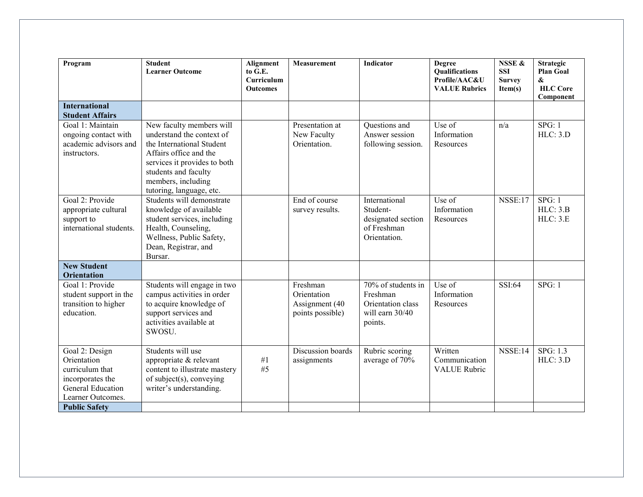| Program                                                                                                               | <b>Student</b><br><b>Learner Outcome</b>                                                                                                                                                                               | <b>Alignment</b><br>to G.E.<br>Curriculum<br><b>Outcomes</b> | <b>Measurement</b>                                            | Indicator                                                                         | <b>Degree</b><br>Qualifications<br>Profile/AAC&U<br><b>VALUE Rubrics</b> | <b>NSSE &amp;</b><br><b>SSI</b><br><b>Survey</b><br>Item(s) | <b>Strategic</b><br><b>Plan Goal</b><br>&<br><b>HLC</b> Core<br>Component |
|-----------------------------------------------------------------------------------------------------------------------|------------------------------------------------------------------------------------------------------------------------------------------------------------------------------------------------------------------------|--------------------------------------------------------------|---------------------------------------------------------------|-----------------------------------------------------------------------------------|--------------------------------------------------------------------------|-------------------------------------------------------------|---------------------------------------------------------------------------|
| <b>International</b><br><b>Student Affairs</b>                                                                        |                                                                                                                                                                                                                        |                                                              |                                                               |                                                                                   |                                                                          |                                                             |                                                                           |
| Goal 1: Maintain<br>ongoing contact with<br>academic advisors and<br>instructors.                                     | New faculty members will<br>understand the context of<br>the International Student<br>Affairs office and the<br>services it provides to both<br>students and faculty<br>members, including<br>tutoring, language, etc. |                                                              | Presentation at<br>New Faculty<br>Orientation.                | Questions and<br>Answer session<br>following session.                             | Use of<br>Information<br>Resources                                       | n/a                                                         | SPG: 1<br>HLC: 3.D                                                        |
| Goal 2: Provide<br>appropriate cultural<br>support to<br>international students.                                      | Students will demonstrate<br>knowledge of available<br>student services, including<br>Health, Counseling,<br>Wellness, Public Safety,<br>Dean, Registrar, and<br>Bursar.                                               |                                                              | End of course<br>survey results.                              | International<br>Student-<br>designated section<br>of Freshman<br>Orientation.    | Use of<br>Information<br>Resources                                       | <b>NSSE:17</b>                                              | SPG: 1<br>HLC: 3.B<br>HLC: 3.E                                            |
| <b>New Student</b><br><b>Orientation</b>                                                                              |                                                                                                                                                                                                                        |                                                              |                                                               |                                                                                   |                                                                          |                                                             |                                                                           |
| Goal 1: Provide<br>student support in the<br>transition to higher<br>education.                                       | Students will engage in two<br>campus activities in order<br>to acquire knowledge of<br>support services and<br>activities available at<br>SWOSU.                                                                      |                                                              | Freshman<br>Orientation<br>Assignment (40<br>points possible) | 70% of students in<br>Freshman<br>Orientation class<br>will earn 30/40<br>points. | Use of<br>Information<br>Resources                                       | SSI:64                                                      | SPG: 1                                                                    |
| Goal 2: Design<br>Orientation<br>curriculum that<br>incorporates the<br><b>General Education</b><br>Learner Outcomes. | Students will use<br>appropriate & relevant<br>content to illustrate mastery<br>of subject(s), conveying<br>writer's understanding.                                                                                    | #1<br>#5                                                     | Discussion boards<br>assignments                              | Rubric scoring<br>average of 70%                                                  | Written<br>Communication<br><b>VALUE Rubric</b>                          | <b>NSSE:14</b>                                              | SPG: 1.3<br>HLC: 3.D                                                      |
| <b>Public Safety</b>                                                                                                  |                                                                                                                                                                                                                        |                                                              |                                                               |                                                                                   |                                                                          |                                                             |                                                                           |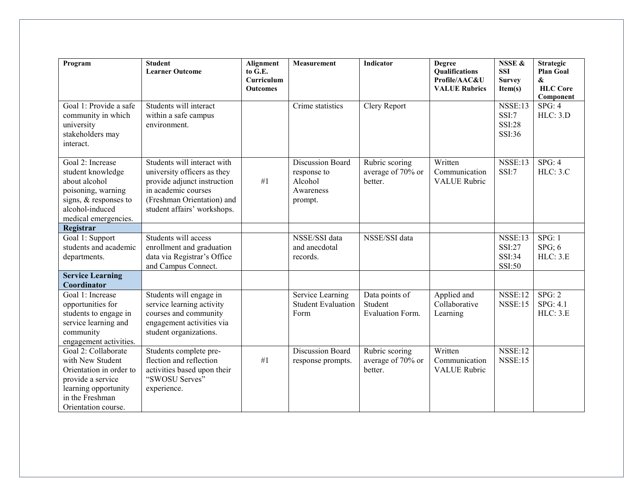| Program                                                                                                                                                   | <b>Student</b><br><b>Learner Outcome</b>                                                                                                                                      | <b>Alignment</b><br>to G.E.<br>Curriculum<br><b>Outcomes</b> | Measurement                                                               | <b>Indicator</b>                                     | <b>Degree</b><br>Qualifications<br>Profile/AAC&U<br><b>VALUE Rubrics</b> | <b>NSSE &amp;</b><br><b>SSI</b><br><b>Survey</b><br>Item(s) | <b>Strategic</b><br><b>Plan Goal</b><br>$\boldsymbol{\&}$<br><b>HLC</b> Core<br>Component |
|-----------------------------------------------------------------------------------------------------------------------------------------------------------|-------------------------------------------------------------------------------------------------------------------------------------------------------------------------------|--------------------------------------------------------------|---------------------------------------------------------------------------|------------------------------------------------------|--------------------------------------------------------------------------|-------------------------------------------------------------|-------------------------------------------------------------------------------------------|
| Goal 1: Provide a safe<br>community in which<br>university<br>stakeholders may<br>interact.                                                               | Students will interact<br>within a safe campus<br>environment.                                                                                                                |                                                              | Crime statistics                                                          | Clery Report                                         |                                                                          | <b>NSSE:13</b><br>SSI:7<br><b>SSI:28</b><br>SSI:36          | SPG: 4<br>HLC: 3.D                                                                        |
| Goal 2: Increase<br>student knowledge<br>about alcohol<br>poisoning, warning<br>signs, & responses to<br>alcohol-induced<br>medical emergencies.          | Students will interact with<br>university officers as they<br>provide adjunct instruction<br>in academic courses<br>(Freshman Orientation) and<br>student affairs' workshops. | #1                                                           | <b>Discussion Board</b><br>response to<br>Alcohol<br>Awareness<br>prompt. | Rubric scoring<br>average of 70% or<br>better.       | Written<br>Communication<br><b>VALUE</b> Rubric                          | <b>NSSE:13</b><br>SSI:7                                     | SPG: 4<br>HLC: 3.C                                                                        |
| Registrar<br>Goal 1: Support<br>students and academic<br>departments.                                                                                     | Students will access<br>enrollment and graduation<br>data via Registrar's Office<br>and Campus Connect.                                                                       |                                                              | NSSE/SSI data<br>and anecdotal<br>records.                                | NSSE/SSI data                                        |                                                                          | <b>NSSE:13</b><br>SSI:27<br><b>SSI:34</b><br>SSI:50         | SPG: 1<br>$SPG$ ; 6<br><b>HLC: 3.E</b>                                                    |
| <b>Service Learning</b><br>Coordinator                                                                                                                    |                                                                                                                                                                               |                                                              |                                                                           |                                                      |                                                                          |                                                             |                                                                                           |
| Goal 1: Increase<br>opportunities for<br>students to engage in<br>service learning and<br>community<br>engagement activities.                             | Students will engage in<br>service learning activity<br>courses and community<br>engagement activities via<br>student organizations.                                          |                                                              | Service Learning<br><b>Student Evaluation</b><br>Form                     | Data points of<br>Student<br><b>Evaluation Form.</b> | Applied and<br>Collaborative<br>Learning                                 | <b>NSSE:12</b><br><b>NSSE:15</b>                            | SPG: 2<br>SPG: 4.1<br>HLC: 3.E                                                            |
| Goal 2: Collaborate<br>with New Student<br>Orientation in order to<br>provide a service<br>learning opportunity<br>in the Freshman<br>Orientation course. | Students complete pre-<br>flection and reflection<br>activities based upon their<br>"SWOSU Serves"<br>experience.                                                             | #1                                                           | <b>Discussion Board</b><br>response prompts.                              | Rubric scoring<br>average of 70% or<br>better.       | Written<br>Communication<br><b>VALUE Rubric</b>                          | <b>NSSE:12</b><br><b>NSSE:15</b>                            |                                                                                           |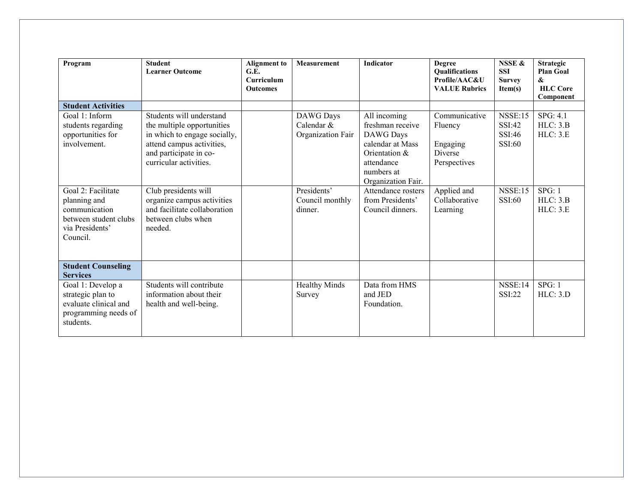| Program                                                                                                     | <b>Student</b><br><b>Learner Outcome</b>                                                                                                                                | <b>Alignment</b> to<br>G.E.<br>Curriculum<br><b>Outcomes</b> | <b>Measurement</b>                           | <b>Indicator</b>                                                                                                                     | <b>Degree</b><br><b>Qualifications</b><br>Profile/AAC&U<br><b>VALUE Rubrics</b> | NSSE &<br><b>SSI</b><br><b>Survey</b><br>Item(s) | <b>Strategic</b><br><b>Plan Goal</b><br>&<br><b>HLC</b> Core<br>Component |
|-------------------------------------------------------------------------------------------------------------|-------------------------------------------------------------------------------------------------------------------------------------------------------------------------|--------------------------------------------------------------|----------------------------------------------|--------------------------------------------------------------------------------------------------------------------------------------|---------------------------------------------------------------------------------|--------------------------------------------------|---------------------------------------------------------------------------|
| <b>Student Activities</b>                                                                                   |                                                                                                                                                                         |                                                              |                                              |                                                                                                                                      |                                                                                 |                                                  |                                                                           |
| Goal 1: Inform<br>students regarding<br>opportunities for<br>involvement.                                   | Students will understand<br>the multiple opportunities<br>in which to engage socially,<br>attend campus activities,<br>and participate in co-<br>curricular activities. |                                                              | DAWG Days<br>Calendar &<br>Organization Fair | All incoming<br>freshman receive<br>DAWG Days<br>calendar at Mass<br>Orientation &<br>attendance<br>numbers at<br>Organization Fair. | Communicative<br>Fluency<br>Engaging<br><b>Diverse</b><br>Perspectives          | <b>NSSE:15</b><br>SSI:42<br>SSI:46<br>SSI:60     | SPG: 4.1<br>HLC: 3.B<br>HLC: 3.E                                          |
| Goal 2: Facilitate<br>planning and<br>communication<br>between student clubs<br>via Presidents'<br>Council. | Club presidents will<br>organize campus activities<br>and facilitate collaboration<br>between clubs when<br>needed.                                                     |                                                              | Presidents'<br>Council monthly<br>dinner.    | Attendance rosters<br>from Presidents'<br>Council dinners.                                                                           | Applied and<br>Collaborative<br>Learning                                        | <b>NSSE:15</b><br>SSI:60                         | SPG: 1<br>HLC: 3.B<br>HLC: 3.E                                            |
| <b>Student Counseling</b><br><b>Services</b>                                                                |                                                                                                                                                                         |                                                              |                                              |                                                                                                                                      |                                                                                 |                                                  |                                                                           |
| Goal 1: Develop a<br>strategic plan to<br>evaluate clinical and<br>programming needs of<br>students.        | Students will contribute<br>information about their<br>health and well-being.                                                                                           |                                                              | <b>Healthy Minds</b><br>Survey               | Data from HMS<br>and JED<br>Foundation.                                                                                              |                                                                                 | NSSE:14<br>SSI:22                                | SPG: 1<br>HLC: 3.D                                                        |